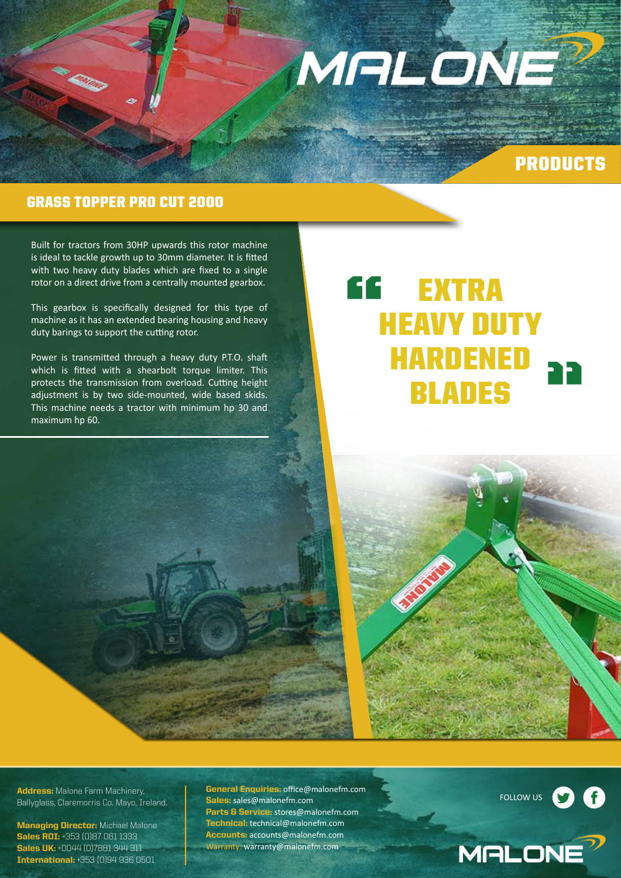

## PRODUCTS

### GRASS TOPPER PRO CUT 2000

Built for tractors from 30HP upwards this rotor machine is ideal to tackle growth up to 30mm diameter. It is fitted with two heavy duty blades which are fixed to a single rotor on a direct drive from a centrally mounted gearbox.

This gearbox is specifically designed for this type of machine as it has an extended bearing housing and heavy duty barings to support the cutting rotor.

Power is transmitted through a heavy duty P.T.O. shaft which is fitted with a shearbolt torque limiter. This protects the transmission from overload. Cutting height adjustment is by two side-mounted, wide based skids. This machine needs a tractor with minimum hp 30 and maximum hp 60.

## **EXTRA** HEAVY DUTY HARDENED BLADES " "



**Managing Director:** Michael Malone Sales ROI: +353 (0)87 061 1333 Sales UK: +0044 (0)7881 344 311 International: +353 (0)94 936 0501

**General Enquiries: office@malonefm.com** Sales: sales@malonefm.com Parts & Service: stores@malonefm.com Technical: technical@malonefm.com Accounts: accounts@malonefm.com Warranty: warranty@malonefm.com

FOLLOW US